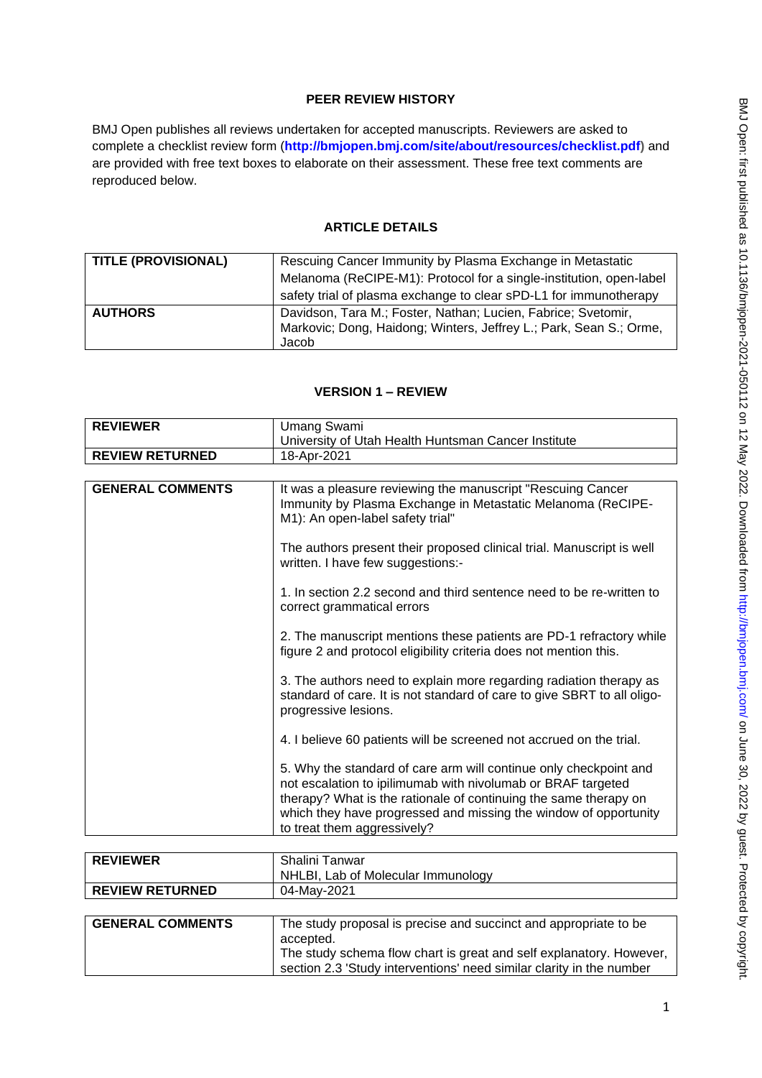# **PEER REVIEW HISTORY**

BMJ Open publishes all reviews undertaken for accepted manuscripts. Reviewers are asked to complete a checklist review form (**[http://bmjopen.bmj.com/site/about/resources/checklist.pdf\)](http://bmjopen.bmj.com/site/about/resources/checklist.pdf)** and are provided with free text boxes to elaborate on their assessment. These free text comments are reproduced below.

### **ARTICLE DETAILS**

| <b>TITLE (PROVISIONAL)</b> | Rescuing Cancer Immunity by Plasma Exchange in Metastatic           |
|----------------------------|---------------------------------------------------------------------|
|                            | Melanoma (ReCIPE-M1): Protocol for a single-institution, open-label |
|                            | safety trial of plasma exchange to clear sPD-L1 for immunotherapy   |
| <b>AUTHORS</b>             | Davidson, Tara M.; Foster, Nathan; Lucien, Fabrice; Svetomir,       |
|                            | Markovic; Dong, Haidong; Winters, Jeffrey L.; Park, Sean S.; Orme,  |
|                            | Jacob                                                               |

## **VERSION 1 – REVIEW**

| <b>REVIEWER</b>         | Umang Swami                                                                                                                                                                                                                                                                                              |
|-------------------------|----------------------------------------------------------------------------------------------------------------------------------------------------------------------------------------------------------------------------------------------------------------------------------------------------------|
|                         | University of Utah Health Huntsman Cancer Institute                                                                                                                                                                                                                                                      |
| <b>REVIEW RETURNED</b>  | 18-Apr-2021                                                                                                                                                                                                                                                                                              |
|                         |                                                                                                                                                                                                                                                                                                          |
| <b>GENERAL COMMENTS</b> | It was a pleasure reviewing the manuscript "Rescuing Cancer<br>Immunity by Plasma Exchange in Metastatic Melanoma (ReCIPE-<br>M1): An open-label safety trial"                                                                                                                                           |
|                         | The authors present their proposed clinical trial. Manuscript is well<br>written. I have few suggestions:-                                                                                                                                                                                               |
|                         | 1. In section 2.2 second and third sentence need to be re-written to<br>correct grammatical errors                                                                                                                                                                                                       |
|                         | 2. The manuscript mentions these patients are PD-1 refractory while<br>figure 2 and protocol eligibility criteria does not mention this.                                                                                                                                                                 |
|                         | 3. The authors need to explain more regarding radiation therapy as<br>standard of care. It is not standard of care to give SBRT to all oligo-<br>progressive lesions.                                                                                                                                    |
|                         | 4. I believe 60 patients will be screened not accrued on the trial.                                                                                                                                                                                                                                      |
|                         | 5. Why the standard of care arm will continue only checkpoint and<br>not escalation to ipilimumab with nivolumab or BRAF targeted<br>therapy? What is the rationale of continuing the same therapy on<br>which they have progressed and missing the window of opportunity<br>to treat them aggressively? |

| <b>REVIEWER</b>         | Shalini Tanwar                                                      |
|-------------------------|---------------------------------------------------------------------|
|                         | NHLBI, Lab of Molecular Immunology                                  |
| <b>REVIEW RETURNED</b>  | 04-May-2021                                                         |
|                         |                                                                     |
| <b>GENERAL COMMENTS</b> | The study proposal is precise and succinct and appropriate to be    |
|                         | accepted.                                                           |
|                         | The study schema flow chart is great and self explanatory. However, |

section 2.3 'Study interventions' need similar clarity in the number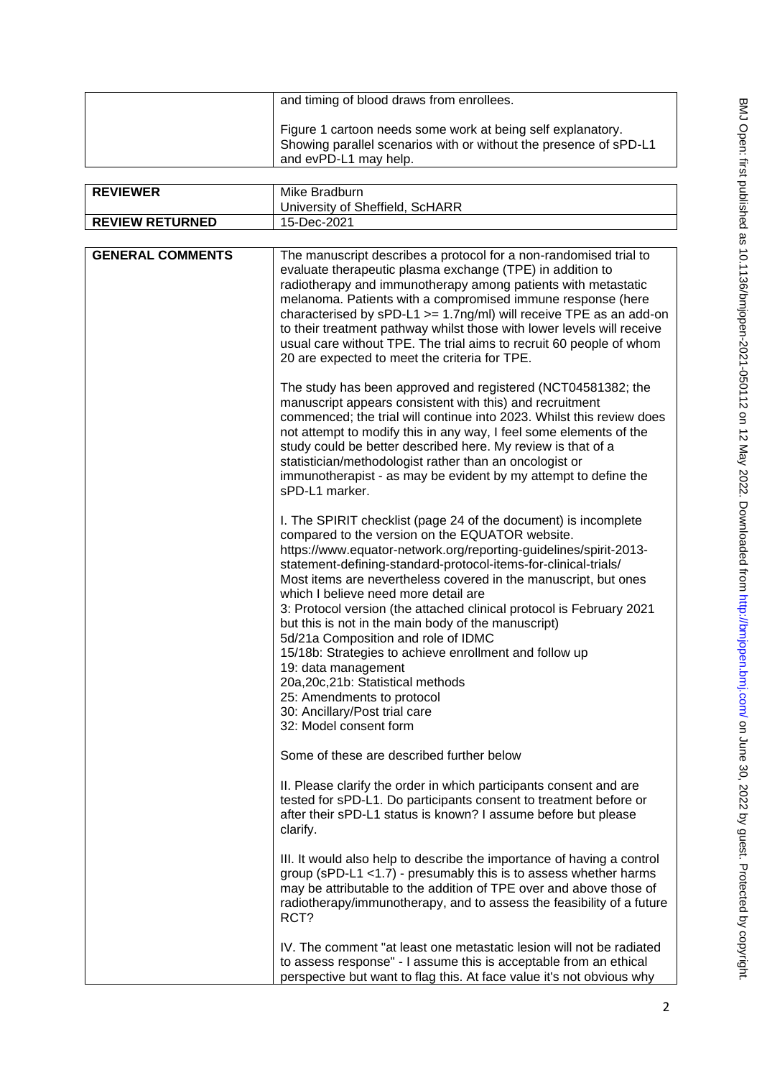| and timing of blood draws from enrollees.                                                                                                                 |
|-----------------------------------------------------------------------------------------------------------------------------------------------------------|
| Figure 1 cartoon needs some work at being self explanatory.<br>Showing parallel scenarios with or without the presence of sPD-L1<br>and evPD-L1 may help. |

| <b>REVIEWER</b>        | Mike Bradburn<br>University of Sheffield, ScHARR |
|------------------------|--------------------------------------------------|
| <b>REVIEW RETURNED</b> | 15-Dec-2021                                      |

| <b>GENERAL COMMENTS</b> | The manuscript describes a protocol for a non-randomised trial to<br>evaluate therapeutic plasma exchange (TPE) in addition to<br>radiotherapy and immunotherapy among patients with metastatic<br>melanoma. Patients with a compromised immune response (here<br>characterised by sPD-L1 >= 1.7ng/ml) will receive TPE as an add-on<br>to their treatment pathway whilst those with lower levels will receive<br>usual care without TPE. The trial aims to recruit 60 people of whom<br>20 are expected to meet the criteria for TPE.<br>The study has been approved and registered (NCT04581382; the                                                                                                                                                      |
|-------------------------|-------------------------------------------------------------------------------------------------------------------------------------------------------------------------------------------------------------------------------------------------------------------------------------------------------------------------------------------------------------------------------------------------------------------------------------------------------------------------------------------------------------------------------------------------------------------------------------------------------------------------------------------------------------------------------------------------------------------------------------------------------------|
|                         | manuscript appears consistent with this) and recruitment<br>commenced; the trial will continue into 2023. Whilst this review does<br>not attempt to modify this in any way, I feel some elements of the<br>study could be better described here. My review is that of a<br>statistician/methodologist rather than an oncologist or<br>immunotherapist - as may be evident by my attempt to define the<br>sPD-L1 marker.                                                                                                                                                                                                                                                                                                                                     |
|                         | I. The SPIRIT checklist (page 24 of the document) is incomplete<br>compared to the version on the EQUATOR website.<br>https://www.equator-network.org/reporting-guidelines/spirit-2013-<br>statement-defining-standard-protocol-items-for-clinical-trials/<br>Most items are nevertheless covered in the manuscript, but ones<br>which I believe need more detail are<br>3: Protocol version (the attached clinical protocol is February 2021<br>but this is not in the main body of the manuscript)<br>5d/21a Composition and role of IDMC<br>15/18b: Strategies to achieve enrollment and follow up<br>19: data management<br>20a, 20c, 21b: Statistical methods<br>25: Amendments to protocol<br>30: Ancillary/Post trial care<br>32: Model consent form |
|                         | Some of these are described further below                                                                                                                                                                                                                                                                                                                                                                                                                                                                                                                                                                                                                                                                                                                   |
|                         | II. Please clarify the order in which participants consent and are<br>tested for sPD-L1. Do participants consent to treatment before or<br>after their sPD-L1 status is known? I assume before but please<br>clarify.                                                                                                                                                                                                                                                                                                                                                                                                                                                                                                                                       |
|                         | III. It would also help to describe the importance of having a control<br>group (sPD-L1 $<$ 1.7) - presumably this is to assess whether harms<br>may be attributable to the addition of TPE over and above those of<br>radiotherapy/immunotherapy, and to assess the feasibility of a future<br>RCT?                                                                                                                                                                                                                                                                                                                                                                                                                                                        |
|                         | IV. The comment "at least one metastatic lesion will not be radiated<br>to assess response" - I assume this is acceptable from an ethical<br>perspective but want to flag this. At face value it's not obvious why                                                                                                                                                                                                                                                                                                                                                                                                                                                                                                                                          |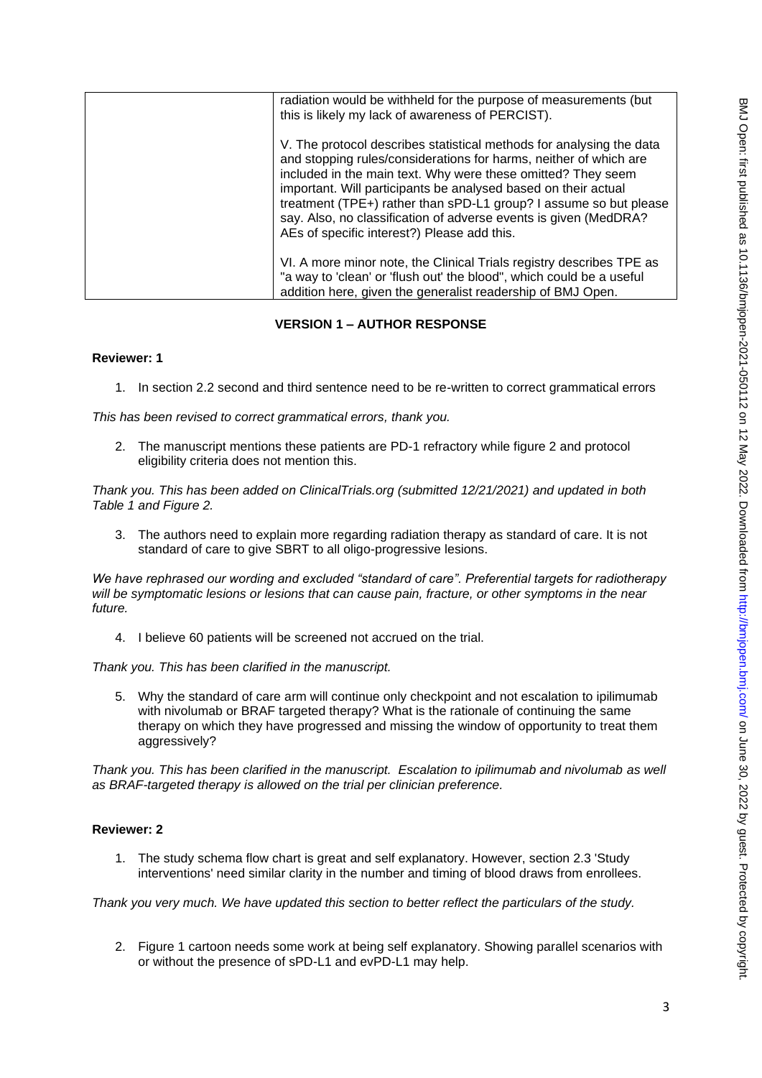| radiation would be withheld for the purpose of measurements (but<br>this is likely my lack of awareness of PERCIST).                                                                                                                                                                                                                                                                                                                                                |
|---------------------------------------------------------------------------------------------------------------------------------------------------------------------------------------------------------------------------------------------------------------------------------------------------------------------------------------------------------------------------------------------------------------------------------------------------------------------|
| V. The protocol describes statistical methods for analysing the data<br>and stopping rules/considerations for harms, neither of which are<br>included in the main text. Why were these omitted? They seem<br>important. Will participants be analysed based on their actual<br>treatment (TPE+) rather than sPD-L1 group? I assume so but please<br>say. Also, no classification of adverse events is given (MedDRA?<br>AEs of specific interest?) Please add this. |
| VI. A more minor note, the Clinical Trials registry describes TPE as<br>"a way to 'clean' or 'flush out' the blood", which could be a useful<br>addition here, given the generalist readership of BMJ Open.                                                                                                                                                                                                                                                         |

# **VERSION 1 – AUTHOR RESPONSE**

#### **Reviewer: 1**

1. In section 2.2 second and third sentence need to be re-written to correct grammatical errors

*This has been revised to correct grammatical errors, thank you.*

2. The manuscript mentions these patients are PD-1 refractory while figure 2 and protocol eligibility criteria does not mention this.

*Thank you. This has been added on ClinicalTrials.org (submitted 12/21/2021) and updated in both Table 1 and Figure 2.*

3. The authors need to explain more regarding radiation therapy as standard of care. It is not standard of care to give SBRT to all oligo-progressive lesions.

*We have rephrased our wording and excluded "standard of care". Preferential targets for radiotherapy will be symptomatic lesions or lesions that can cause pain, fracture, or other symptoms in the near future.*

4. I believe 60 patients will be screened not accrued on the trial.

*Thank you. This has been clarified in the manuscript.*

5. Why the standard of care arm will continue only checkpoint and not escalation to ipilimumab with nivolumab or BRAF targeted therapy? What is the rationale of continuing the same therapy on which they have progressed and missing the window of opportunity to treat them aggressively?

*Thank you. This has been clarified in the manuscript. Escalation to ipilimumab and nivolumab as well as BRAF-targeted therapy is allowed on the trial per clinician preference.*

#### **Reviewer: 2**

1. The study schema flow chart is great and self explanatory. However, section 2.3 'Study interventions' need similar clarity in the number and timing of blood draws from enrollees.

*Thank you very much. We have updated this section to better reflect the particulars of the study.*

2. Figure 1 cartoon needs some work at being self explanatory. Showing parallel scenarios with or without the presence of sPD-L1 and evPD-L1 may help.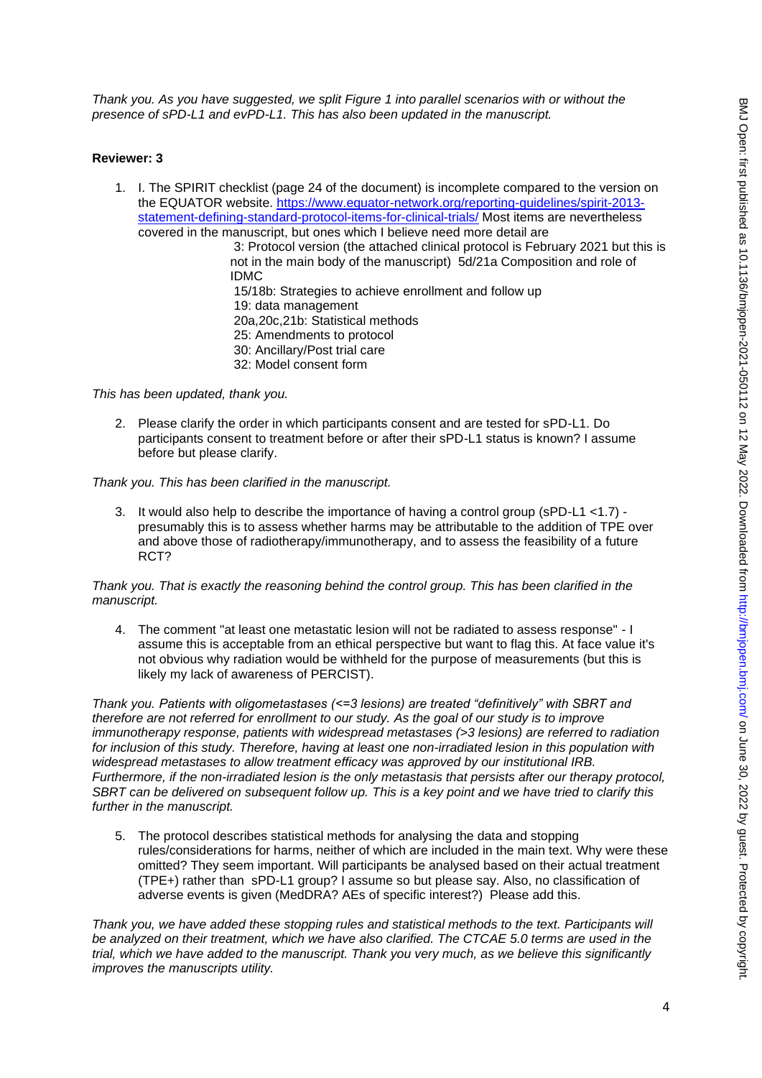*Thank you. As you have suggested, we split Figure 1 into parallel scenarios with or without the presence of sPD-L1 and evPD-L1. This has also been updated in the manuscript.*

#### **Reviewer: 3**

1. I. The SPIRIT checklist (page 24 of the document) is incomplete compared to the version on the EQUATOR website. [https://www.equator-network.org/reporting-guidelines/spirit-2013](https://www.equator-network.org/reporting-guidelines/spirit-2013-statement-defining-standard-protocol-items-for-clinical-trials/) [statement-defining-standard-protocol-items-for-clinical-trials/](https://www.equator-network.org/reporting-guidelines/spirit-2013-statement-defining-standard-protocol-items-for-clinical-trials/) Most items are nevertheless covered in the manuscript, but ones which I believe need more detail are

3: Protocol version (the attached clinical protocol is February 2021 but this is not in the main body of the manuscript) 5d/21a Composition and role of IDMC

15/18b: Strategies to achieve enrollment and follow up 19: data management 20a,20c,21b: Statistical methods 25: Amendments to protocol 30: Ancillary/Post trial care 32: Model consent form

*This has been updated, thank you.*

2. Please clarify the order in which participants consent and are tested for sPD-L1. Do participants consent to treatment before or after their sPD-L1 status is known? I assume before but please clarify.

*Thank you. This has been clarified in the manuscript.*

3. It would also help to describe the importance of having a control group (sPD-L1 <1.7) presumably this is to assess whether harms may be attributable to the addition of TPE over and above those of radiotherapy/immunotherapy, and to assess the feasibility of a future RCT?

*Thank you. That is exactly the reasoning behind the control group. This has been clarified in the manuscript.*

4. The comment "at least one metastatic lesion will not be radiated to assess response" - I assume this is acceptable from an ethical perspective but want to flag this. At face value it's not obvious why radiation would be withheld for the purpose of measurements (but this is likely my lack of awareness of PERCIST).

*Thank you. Patients with oligometastases (<=3 lesions) are treated "definitively" with SBRT and therefore are not referred for enrollment to our study. As the goal of our study is to improve immunotherapy response, patients with widespread metastases (>3 lesions) are referred to radiation for inclusion of this study. Therefore, having at least one non-irradiated lesion in this population with widespread metastases to allow treatment efficacy was approved by our institutional IRB. Furthermore, if the non-irradiated lesion is the only metastasis that persists after our therapy protocol, SBRT can be delivered on subsequent follow up. This is a key point and we have tried to clarify this further in the manuscript.*

5. The protocol describes statistical methods for analysing the data and stopping rules/considerations for harms, neither of which are included in the main text. Why were these omitted? They seem important. Will participants be analysed based on their actual treatment (TPE+) rather than sPD-L1 group? I assume so but please say. Also, no classification of adverse events is given (MedDRA? AEs of specific interest?) Please add this.

*Thank you, we have added these stopping rules and statistical methods to the text. Participants will be analyzed on their treatment, which we have also clarified. The CTCAE 5.0 terms are used in the trial, which we have added to the manuscript. Thank you very much, as we believe this significantly improves the manuscripts utility.*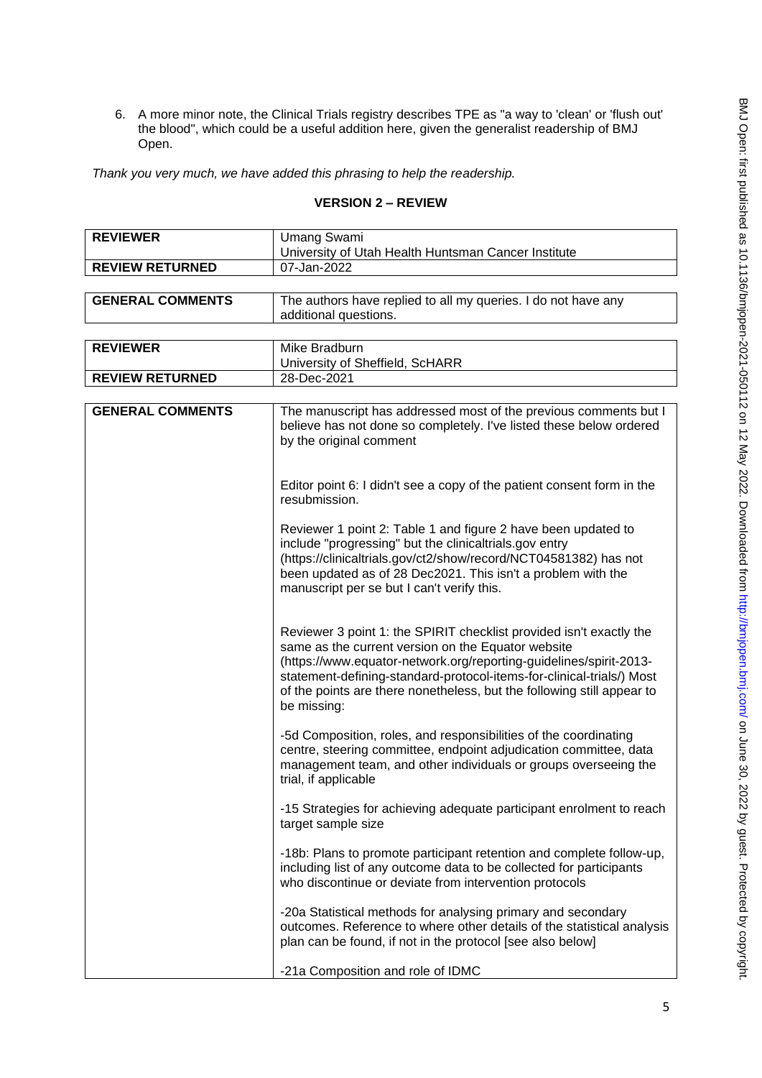6. A more minor note, the Clinical Trials registry describes TPE as "a way to 'clean' or 'flush out' the blood", which could be a useful addition here, given the generalist readership of BMJ Open.

*Thank you very much, we have added this phrasing to help the readership.*

# **VERSION 2 – REVIEW**

| <b>REVIEWER</b>         | Umang Swami                                                                                                                                                                                                                                                                                                                                                       |
|-------------------------|-------------------------------------------------------------------------------------------------------------------------------------------------------------------------------------------------------------------------------------------------------------------------------------------------------------------------------------------------------------------|
|                         | University of Utah Health Huntsman Cancer Institute                                                                                                                                                                                                                                                                                                               |
| <b>REVIEW RETURNED</b>  | 07-Jan-2022                                                                                                                                                                                                                                                                                                                                                       |
|                         |                                                                                                                                                                                                                                                                                                                                                                   |
| <b>GENERAL COMMENTS</b> | The authors have replied to all my queries. I do not have any                                                                                                                                                                                                                                                                                                     |
|                         | additional questions.                                                                                                                                                                                                                                                                                                                                             |
|                         |                                                                                                                                                                                                                                                                                                                                                                   |
| <b>REVIEWER</b>         | Mike Bradburn                                                                                                                                                                                                                                                                                                                                                     |
|                         | University of Sheffield, ScHARR                                                                                                                                                                                                                                                                                                                                   |
| <b>REVIEW RETURNED</b>  | 28-Dec-2021                                                                                                                                                                                                                                                                                                                                                       |
|                         |                                                                                                                                                                                                                                                                                                                                                                   |
| <b>GENERAL COMMENTS</b> | The manuscript has addressed most of the previous comments but I<br>believe has not done so completely. I've listed these below ordered<br>by the original comment                                                                                                                                                                                                |
|                         | Editor point 6: I didn't see a copy of the patient consent form in the<br>resubmission.                                                                                                                                                                                                                                                                           |
|                         | Reviewer 1 point 2: Table 1 and figure 2 have been updated to<br>include "progressing" but the clinicaltrials.gov entry<br>(https://clinicaltrials.gov/ct2/show/record/NCT04581382) has not<br>been updated as of 28 Dec2021. This isn't a problem with the<br>manuscript per se but I can't verify this.                                                         |
|                         | Reviewer 3 point 1: the SPIRIT checklist provided isn't exactly the<br>same as the current version on the Equator website<br>(https://www.equator-network.org/reporting-guidelines/spirit-2013-<br>statement-defining-standard-protocol-items-for-clinical-trials/) Most<br>of the points are there nonetheless, but the following still appear to<br>be missing: |
|                         | -5d Composition, roles, and responsibilities of the coordinating<br>centre, steering committee, endpoint adjudication committee, data<br>management team, and other individuals or groups overseeing the<br>trial, if applicable                                                                                                                                  |
|                         | -15 Strategies for achieving adequate participant enrolment to reach<br>target sample size                                                                                                                                                                                                                                                                        |
|                         | -18b: Plans to promote participant retention and complete follow-up,<br>including list of any outcome data to be collected for participants<br>who discontinue or deviate from intervention protocols                                                                                                                                                             |
|                         | -20a Statistical methods for analysing primary and secondary<br>outcomes. Reference to where other details of the statistical analysis<br>plan can be found, if not in the protocol [see also below]                                                                                                                                                              |
|                         | -21a Composition and role of IDMC                                                                                                                                                                                                                                                                                                                                 |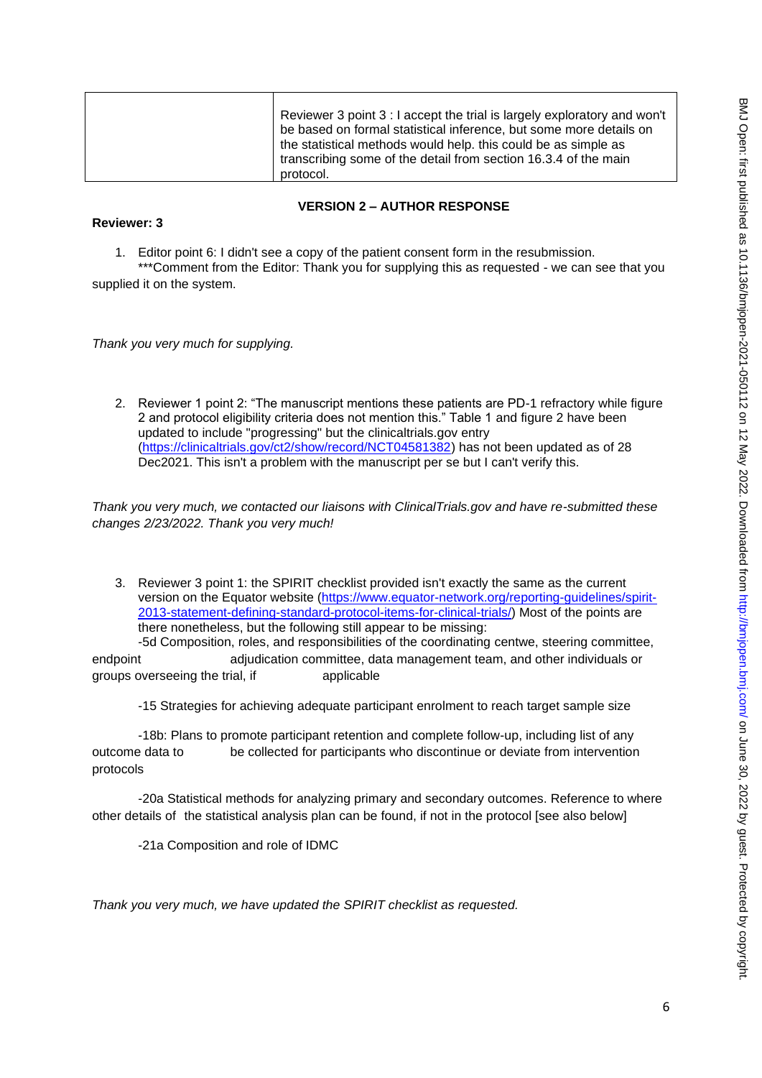| Reviewer 3 point 3 : I accept the trial is largely exploratory and won't |
|--------------------------------------------------------------------------|
| be based on formal statistical inference, but some more details on       |
| the statistical methods would help. this could be as simple as           |
| transcribing some of the detail from section 16.3.4 of the main          |
| protocol.                                                                |

#### **VERSION 2 – AUTHOR RESPONSE**

#### **Reviewer: 3**

1. Editor point 6: I didn't see a copy of the patient consent form in the resubmission.

\*\*\*Comment from the Editor: Thank you for supplying this as requested - we can see that you supplied it on the system.

*Thank you very much for supplying.*

2. Reviewer 1 point 2: "The manuscript mentions these patients are PD-1 refractory while figure 2 and protocol eligibility criteria does not mention this." Table 1 and figure 2 have been updated to include "progressing" but the clinicaltrials.gov entry [\(https://clinicaltrials.gov/ct2/show/record/NCT04581382\)](https://clinicaltrials.gov/ct2/show/record/NCT04581382) has not been updated as of 28 Dec2021. This isn't a problem with the manuscript per se but I can't verify this.

*Thank you very much, we contacted our liaisons with ClinicalTrials.gov and have re-submitted these changes 2/23/2022. Thank you very much!*

3. Reviewer 3 point 1: the SPIRIT checklist provided isn't exactly the same as the current version on the Equator website [\(https://www.equator-network.org/reporting-guidelines/spirit-](https://www.equator-network.org/reporting-guidelines/spirit-2013-statement-defining-standard-protocol-items-for-clinical-trials/)[2013-statement-defining-standard-protocol-items-for-clinical-trials/\)](https://www.equator-network.org/reporting-guidelines/spirit-2013-statement-defining-standard-protocol-items-for-clinical-trials/) Most of the points are there nonetheless, but the following still appear to be missing:

-5d Composition, roles, and responsibilities of the coordinating centwe, steering committee, endpoint adjudication committee, data management team, and other individuals or groups overseeing the trial, if applicable

-15 Strategies for achieving adequate participant enrolment to reach target sample size

-18b: Plans to promote participant retention and complete follow-up, including list of any outcome data to be collected for participants who discontinue or deviate from intervention protocols

-20a Statistical methods for analyzing primary and secondary outcomes. Reference to where other details of the statistical analysis plan can be found, if not in the protocol [see also below]

-21a Composition and role of IDMC

*Thank you very much, we have updated the SPIRIT checklist as requested.*